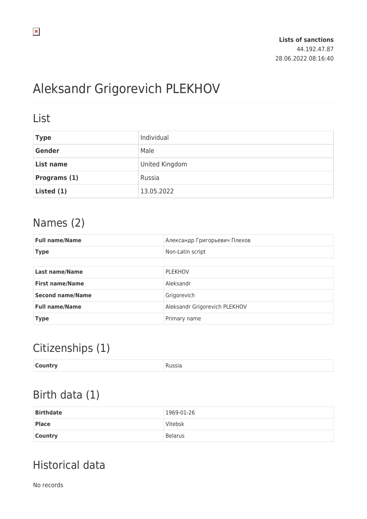# Aleksandr Grigorevich PLEKHOV

#### List

| <b>Type</b>  | Individual     |
|--------------|----------------|
| Gender       | Male           |
| List name    | United Kingdom |
| Programs (1) | Russia         |
| Listed (1)   | 13.05.2022     |

### Names (2)

| <b>Full name/Name</b>   | Александр Григорьевич Плехов  |
|-------------------------|-------------------------------|
| <b>Type</b>             | Non-Latin script              |
|                         |                               |
| <b>Last name/Name</b>   | <b>PLEKHOV</b>                |
| <b>First name/Name</b>  | Aleksandr                     |
| <b>Second name/Name</b> | Grigorevich                   |
| <b>Full name/Name</b>   | Aleksandr Grigorevich PLEKHOV |
| <b>Type</b>             | Primary name                  |

# Citizenships (1)

| <b>Country</b><br>Russia<br>. |
|-------------------------------|
|-------------------------------|

### Birth data (1)

| <b>Birthdate</b> | 1969-01-26     |
|------------------|----------------|
| <b>Place</b>     | Vitebsk        |
| <b>Country</b>   | <b>Belarus</b> |

# Historical data

No records